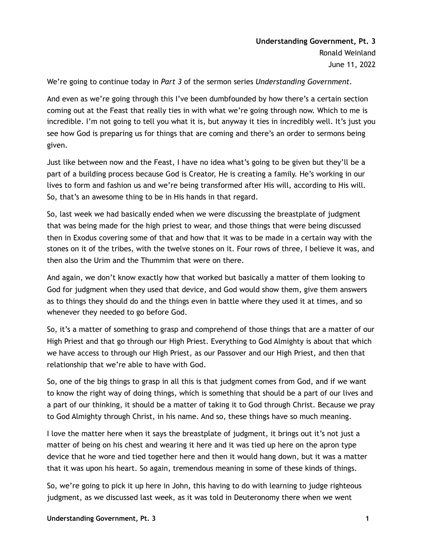We're going to continue today in *Part 3* of the sermon series *Understanding Government*.

And even as we're going through this I've been dumbfounded by how there's a certain section coming out at the Feast that really ties in with what we're going through now. Which to me is incredible. I'm not going to tell you what it is, but anyway it ties in incredibly well. It's just you see how God is preparing us for things that are coming and there's an order to sermons being given.

Just like between now and the Feast, I have no idea what's going to be given but they'll be a part of a building process because God is Creator, He is creating a family. He's working in our lives to form and fashion us and we're being transformed after His will, according to His will. So, that's an awesome thing to be in His hands in that regard.

So, last week we had basically ended when we were discussing the breastplate of judgment that was being made for the high priest to wear, and those things that were being discussed then in Exodus covering some of that and how that it was to be made in a certain way with the stones on it of the tribes, with the twelve stones on it. Four rows of three, I believe it was, and then also the Urim and the Thummim that were on there.

And again, we don't know exactly how that worked but basically a matter of them looking to God for judgment when they used that device, and God would show them, give them answers as to things they should do and the things even in battle where they used it at times, and so whenever they needed to go before God.

So, it's a matter of something to grasp and comprehend of those things that are a matter of our High Priest and that go through our High Priest. Everything to God Almighty is about that which we have access to through our High Priest, as our Passover and our High Priest, and then that relationship that we're able to have with God.

So, one of the big things to grasp in all this is that judgment comes from God, and if we want to know the right way of doing things, which is something that should be a part of our lives and a part of our thinking, it should be a matter of taking it to God through Christ. Because we pray to God Almighty through Christ, in his name. And so, these things have so much meaning.

I love the matter here when it says the breastplate of judgment, it brings out it's not just a matter of being on his chest and wearing it here and it was tied up here on the apron type device that he wore and tied together here and then it would hang down, but it was a matter that it was upon his heart. So again, tremendous meaning in some of these kinds of things.

So, we're going to pick it up here in John, this having to do with learning to judge righteous judgment, as we discussed last week, as it was told in Deuteronomy there when we went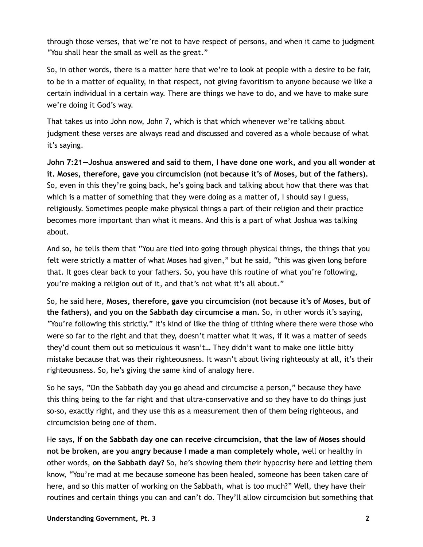through those verses, that we're not to have respect of persons, and when it came to judgment "You shall hear the small as well as the great."

So, in other words, there is a matter here that we're to look at people with a desire to be fair, to be in a matter of equality, in that respect, not giving favoritism to anyone because we like a certain individual in a certain way. There are things we have to do, and we have to make sure we're doing it God's way.

That takes us into John now, John 7, which is that which whenever we're talking about judgment these verses are always read and discussed and covered as a whole because of what it's saying.

**John 7:21—Joshua answered and said to them, I have done one work, and you all wonder at it. Moses, therefore, gave you circumcision (not because it's of Moses, but of the fathers).** So, even in this they're going back, he's going back and talking about how that there was that which is a matter of something that they were doing as a matter of, I should say I guess, religiously. Sometimes people make physical things a part of their religion and their practice becomes more important than what it means. And this is a part of what Joshua was talking about.

And so, he tells them that "You are tied into going through physical things, the things that you felt were strictly a matter of what Moses had given," but he said, "this was given long before that. It goes clear back to your fathers. So, you have this routine of what you're following, you're making a religion out of it, and that's not what it's all about."

So, he said here, **Moses, therefore, gave you circumcision (not because it's of Moses, but of the fathers), and you on the Sabbath day circumcise a man.** So, in other words it's saying, "You're following this strictly." It's kind of like the thing of tithing where there were those who were so far to the right and that they, doesn't matter what it was, if it was a matter of seeds they'd count them out so meticulous it wasn't… They didn't want to make one little bitty mistake because that was their righteousness. It wasn't about living righteously at all, it's their righteousness. So, he's giving the same kind of analogy here.

So he says, "On the Sabbath day you go ahead and circumcise a person," because they have this thing being to the far right and that ultra-conservative and so they have to do things just so-so, exactly right, and they use this as a measurement then of them being righteous, and circumcision being one of them.

He says, **If on the Sabbath day one can receive circumcision, that the law of Moses should not be broken, are you angry because I made a man completely whole,** well or healthy in other words, **on the Sabbath day?** So, he's showing them their hypocrisy here and letting them know, "You're mad at me because someone has been healed, someone has been taken care of here, and so this matter of working on the Sabbath, what is too much?" Well, they have their routines and certain things you can and can't do. They'll allow circumcision but something that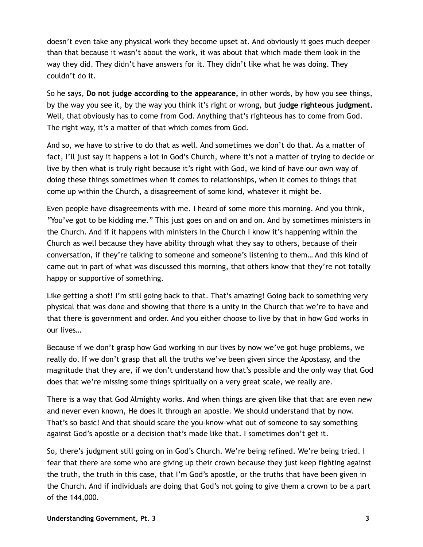doesn't even take any physical work they become upset at. And obviously it goes much deeper than that because it wasn't about the work, it was about that which made them look in the way they did. They didn't have answers for it. They didn't like what he was doing. They couldn't do it.

So he says, **Do not judge according to the appearance,** in other words, by how you see things, by the way you see it, by the way you think it's right or wrong, **but judge righteous judgment.** Well, that obviously has to come from God. Anything that's righteous has to come from God. The right way, it's a matter of that which comes from God.

And so, we have to strive to do that as well. And sometimes we don't do that. As a matter of fact, I'll just say it happens a lot in God's Church, where it's not a matter of trying to decide or live by then what is truly right because it's right with God, we kind of have our own way of doing these things sometimes when it comes to relationships, when it comes to things that come up within the Church, a disagreement of some kind, whatever it might be.

Even people have disagreements with me. I heard of some more this morning. And you think, "You've got to be kidding me." This just goes on and on and on. And by sometimes ministers in the Church. And if it happens with ministers in the Church I know it's happening within the Church as well because they have ability through what they say to others, because of their conversation, if they're talking to someone and someone's listening to them… And this kind of came out in part of what was discussed this morning, that others know that they're not totally happy or supportive of something.

Like getting a shot! I'm still going back to that. That's amazing! Going back to something very physical that was done and showing that there is a unity in the Church that we're to have and that there is government and order. And you either choose to live by that in how God works in our lives…

Because if we don't grasp how God working in our lives by now we've got huge problems, we really do. If we don't grasp that all the truths we've been given since the Apostasy, and the magnitude that they are, if we don't understand how that's possible and the only way that God does that we're missing some things spiritually on a very great scale, we really are.

There is a way that God Almighty works. And when things are given like that that are even new and never even known, He does it through an apostle. We should understand that by now. That's so basic! And that should scare the you-know-what out of someone to say something against God's apostle or a decision that's made like that. I sometimes don't get it.

So, there's judgment still going on in God's Church. We're being refined. We're being tried. I fear that there are some who are giving up their crown because they just keep fighting against the truth, the truth in this case, that I'm God's apostle, or the truths that have been given in the Church. And if individuals are doing that God's not going to give them a crown to be a part of the 144,000.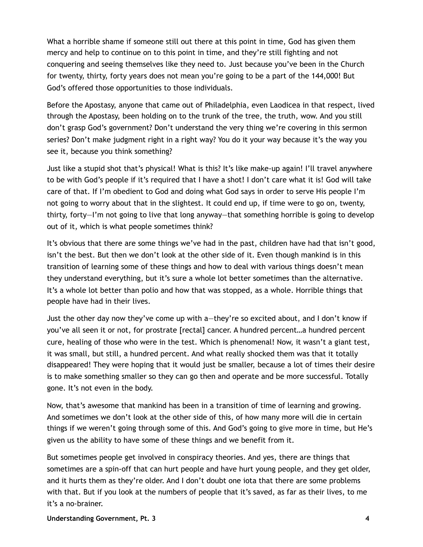What a horrible shame if someone still out there at this point in time, God has given them mercy and help to continue on to this point in time, and they're still fighting and not conquering and seeing themselves like they need to. Just because you've been in the Church for twenty, thirty, forty years does not mean you're going to be a part of the 144,000! But God's offered those opportunities to those individuals.

Before the Apostasy, anyone that came out of Philadelphia, even Laodicea in that respect, lived through the Apostasy, been holding on to the trunk of the tree, the truth, wow. And you still don't grasp God's government? Don't understand the very thing we're covering in this sermon series? Don't make judgment right in a right way? You do it your way because it's the way you see it, because you think something?

Just like a stupid shot that's physical! What is this? It's like make-up again! I'll travel anywhere to be with God's people if it's required that I have a shot! I don't care what it is! God will take care of that. If I'm obedient to God and doing what God says in order to serve His people I'm not going to worry about that in the slightest. It could end up, if time were to go on, twenty, thirty, forty—I'm not going to live that long anyway—that something horrible is going to develop out of it, which is what people sometimes think?

It's obvious that there are some things we've had in the past, children have had that isn't good, isn't the best. But then we don't look at the other side of it. Even though mankind is in this transition of learning some of these things and how to deal with various things doesn't mean they understand everything, but it's sure a whole lot better sometimes than the alternative. It's a whole lot better than polio and how that was stopped, as a whole. Horrible things that people have had in their lives.

Just the other day now they've come up with a—they're so excited about, and I don't know if you've all seen it or not, for prostrate [rectal] cancer. A hundred percent…a hundred percent cure, healing of those who were in the test. Which is phenomenal! Now, it wasn't a giant test, it was small, but still, a hundred percent. And what really shocked them was that it totally disappeared! They were hoping that it would just be smaller, because a lot of times their desire is to make something smaller so they can go then and operate and be more successful. Totally gone. It's not even in the body.

Now, that's awesome that mankind has been in a transition of time of learning and growing. And sometimes we don't look at the other side of this, of how many more will die in certain things if we weren't going through some of this. And God's going to give more in time, but He's given us the ability to have some of these things and we benefit from it.

But sometimes people get involved in conspiracy theories. And yes, there are things that sometimes are a spin-off that can hurt people and have hurt young people, and they get older, and it hurts them as they're older. And I don't doubt one iota that there are some problems with that. But if you look at the numbers of people that it's saved, as far as their lives, to me it's a no-brainer.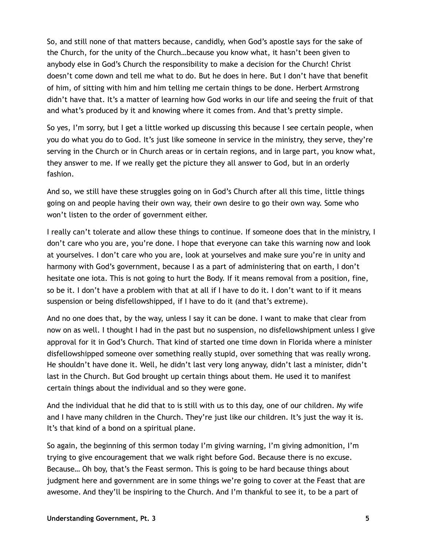So, and still none of that matters because, candidly, when God's apostle says for the sake of the Church, for the unity of the Church…because you know what, it hasn't been given to anybody else in God's Church the responsibility to make a decision for the Church! Christ doesn't come down and tell me what to do. But he does in here. But I don't have that benefit of him, of sitting with him and him telling me certain things to be done. Herbert Armstrong didn't have that. It's a matter of learning how God works in our life and seeing the fruit of that and what's produced by it and knowing where it comes from. And that's pretty simple.

So yes, I'm sorry, but I get a little worked up discussing this because I see certain people, when you do what you do to God. It's just like someone in service in the ministry, they serve, they're serving in the Church or in Church areas or in certain regions, and in large part, you know what, they answer to me. If we really get the picture they all answer to God, but in an orderly fashion.

And so, we still have these struggles going on in God's Church after all this time, little things going on and people having their own way, their own desire to go their own way. Some who won't listen to the order of government either.

I really can't tolerate and allow these things to continue. If someone does that in the ministry, I don't care who you are, you're done. I hope that everyone can take this warning now and look at yourselves. I don't care who you are, look at yourselves and make sure you're in unity and harmony with God's government, because I as a part of administering that on earth, I don't hesitate one iota. This is not going to hurt the Body. If it means removal from a position, fine, so be it. I don't have a problem with that at all if I have to do it. I don't want to if it means suspension or being disfellowshipped, if I have to do it (and that's extreme).

And no one does that, by the way, unless I say it can be done. I want to make that clear from now on as well. I thought I had in the past but no suspension, no disfellowshipment unless I give approval for it in God's Church. That kind of started one time down in Florida where a minister disfellowshipped someone over something really stupid, over something that was really wrong. He shouldn't have done it. Well, he didn't last very long anyway, didn't last a minister, didn't last in the Church. But God brought up certain things about them. He used it to manifest certain things about the individual and so they were gone.

And the individual that he did that to is still with us to this day, one of our children. My wife and I have many children in the Church. They're just like our children. It's just the way it is. It's that kind of a bond on a spiritual plane.

So again, the beginning of this sermon today I'm giving warning, I'm giving admonition, I'm trying to give encouragement that we walk right before God. Because there is no excuse. Because… Oh boy, that's the Feast sermon. This is going to be hard because things about judgment here and government are in some things we're going to cover at the Feast that are awesome. And they'll be inspiring to the Church. And I'm thankful to see it, to be a part of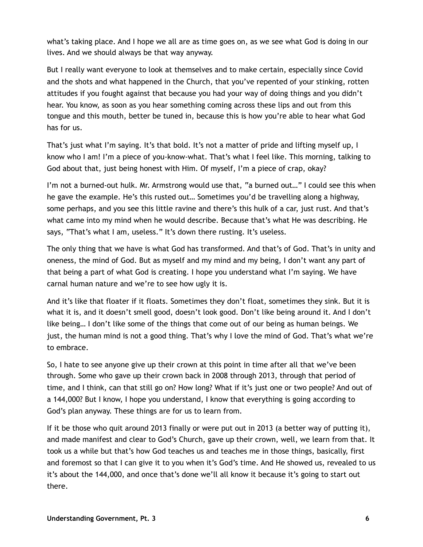what's taking place. And I hope we all are as time goes on, as we see what God is doing in our lives. And we should always be that way anyway.

But I really want everyone to look at themselves and to make certain, especially since Covid and the shots and what happened in the Church, that you've repented of your stinking, rotten attitudes if you fought against that because you had your way of doing things and you didn't hear. You know, as soon as you hear something coming across these lips and out from this tongue and this mouth, better be tuned in, because this is how you're able to hear what God has for us.

That's just what I'm saying. It's that bold. It's not a matter of pride and lifting myself up, I know who I am! I'm a piece of you-know-what. That's what I feel like. This morning, talking to God about that, just being honest with Him. Of myself, I'm a piece of crap, okay?

I'm not a burned-out hulk. Mr. Armstrong would use that, "a burned out…" I could see this when he gave the example. He's this rusted out… Sometimes you'd be travelling along a highway, some perhaps, and you see this little ravine and there's this hulk of a car, just rust. And that's what came into my mind when he would describe. Because that's what He was describing. He says, "That's what I am, useless." It's down there rusting. It's useless.

The only thing that we have is what God has transformed. And that's of God. That's in unity and oneness, the mind of God. But as myself and my mind and my being, I don't want any part of that being a part of what God is creating. I hope you understand what I'm saying. We have carnal human nature and we're to see how ugly it is.

And it's like that floater if it floats. Sometimes they don't float, sometimes they sink. But it is what it is, and it doesn't smell good, doesn't look good. Don't like being around it. And I don't like being… I don't like some of the things that come out of our being as human beings. We just, the human mind is not a good thing. That's why I love the mind of God. That's what we're to embrace.

So, I hate to see anyone give up their crown at this point in time after all that we've been through. Some who gave up their crown back in 2008 through 2013, through that period of time, and I think, can that still go on? How long? What if it's just one or two people? And out of a 144,000? But I know, I hope you understand, I know that everything is going according to God's plan anyway. These things are for us to learn from.

If it be those who quit around 2013 finally or were put out in 2013 (a better way of putting it), and made manifest and clear to God's Church, gave up their crown, well, we learn from that. It took us a while but that's how God teaches us and teaches me in those things, basically, first and foremost so that I can give it to you when it's God's time. And He showed us, revealed to us it's about the 144,000, and once that's done we'll all know it because it's going to start out there.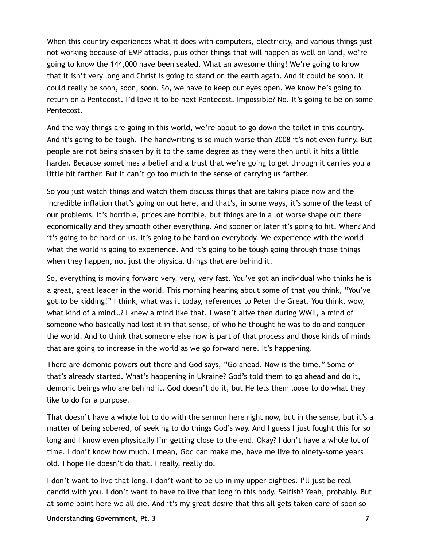When this country experiences what it does with computers, electricity, and various things just not working because of EMP attacks, plus other things that will happen as well on land, we're going to know the 144,000 have been sealed. What an awesome thing! We're going to know that it isn't very long and Christ is going to stand on the earth again. And it could be soon. It could really be soon, soon, soon. So, we have to keep our eyes open. We know he's going to return on a Pentecost. I'd love it to be next Pentecost. Impossible? No. It's going to be on some Pentecost.

And the way things are going in this world, we're about to go down the toilet in this country. And it's going to be tough. The handwriting is so much worse than 2008 it's not even funny. But people are not being shaken by it to the same degree as they were then until it hits a little harder. Because sometimes a belief and a trust that we're going to get through it carries you a little bit farther. But it can't go too much in the sense of carrying us farther.

So you just watch things and watch them discuss things that are taking place now and the incredible inflation that's going on out here, and that's, in some ways, it's some of the least of our problems. It's horrible, prices are horrible, but things are in a lot worse shape out there economically and they smooth other everything. And sooner or later it's going to hit. When? And it's going to be hard on us. It's going to be hard on everybody. We experience with the world what the world is going to experience. And it's going to be tough going through those things when they happen, not just the physical things that are behind it.

So, everything is moving forward very, very, very fast. You've got an individual who thinks he is a great, great leader in the world. This morning hearing about some of that you think, "You've got to be kidding!" I think, what was it today, references to Peter the Great. You think, wow, what kind of a mind…? I knew a mind like that. I wasn't alive then during WWII, a mind of someone who basically had lost it in that sense, of who he thought he was to do and conquer the world. And to think that someone else now is part of that process and those kinds of minds that are going to increase in the world as we go forward here. It's happening.

There are demonic powers out there and God says, "Go ahead. Now is the time." Some of that's already started. What's happening in Ukraine? God's told them to go ahead and do it, demonic beings who are behind it. God doesn't do it, but He lets them loose to do what they like to do for a purpose.

That doesn't have a whole lot to do with the sermon here right now, but in the sense, but it's a matter of being sobered, of seeking to do things God's way. And I guess I just fought this for so long and I know even physically I'm getting close to the end. Okay? I don't have a whole lot of time. I don't know how much. I mean, God can make me, have me live to ninety-some years old. I hope He doesn't do that. I really, really do.

I don't want to live that long. I don't want to be up in my upper eighties. I'll just be real candid with you. I don't want to have to live that long in this body. Selfish? Yeah, probably. But at some point here we all die. And it's my great desire that this all gets taken care of soon so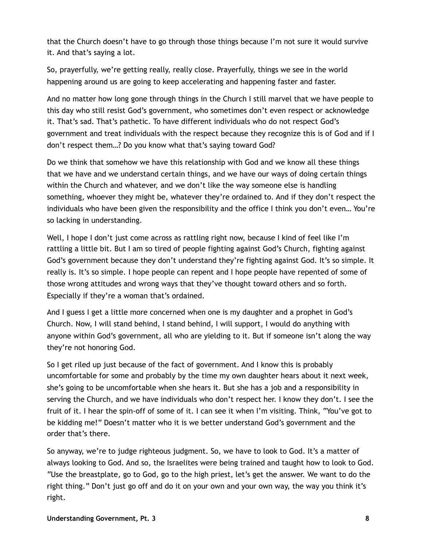that the Church doesn't have to go through those things because I'm not sure it would survive it. And that's saying a lot.

So, prayerfully, we're getting really, really close. Prayerfully, things we see in the world happening around us are going to keep accelerating and happening faster and faster.

And no matter how long gone through things in the Church I still marvel that we have people to this day who still resist God's government, who sometimes don't even respect or acknowledge it. That's sad. That's pathetic. To have different individuals who do not respect God's government and treat individuals with the respect because they recognize this is of God and if I don't respect them…? Do you know what that's saying toward God?

Do we think that somehow we have this relationship with God and we know all these things that we have and we understand certain things, and we have our ways of doing certain things within the Church and whatever, and we don't like the way someone else is handling something, whoever they might be, whatever they're ordained to. And if they don't respect the individuals who have been given the responsibility and the office I think you don't even… You're so lacking in understanding.

Well, I hope I don't just come across as rattling right now, because I kind of feel like I'm rattling a little bit. But I am so tired of people fighting against God's Church, fighting against God's government because they don't understand they're fighting against God. It's so simple. It really is. It's so simple. I hope people can repent and I hope people have repented of some of those wrong attitudes and wrong ways that they've thought toward others and so forth. Especially if they're a woman that's ordained.

And I guess I get a little more concerned when one is my daughter and a prophet in God's Church. Now, I will stand behind, I stand behind, I will support, I would do anything with anyone within God's government, all who are yielding to it. But if someone isn't along the way they're not honoring God.

So I get riled up just because of the fact of government. And I know this is probably uncomfortable for some and probably by the time my own daughter hears about it next week, she's going to be uncomfortable when she hears it. But she has a job and a responsibility in serving the Church, and we have individuals who don't respect her. I know they don't. I see the fruit of it. I hear the spin-off of some of it. I can see it when I'm visiting. Think, "You've got to be kidding me!" Doesn't matter who it is we better understand God's government and the order that's there.

So anyway, we're to judge righteous judgment. So, we have to look to God. It's a matter of always looking to God. And so, the Israelites were being trained and taught how to look to God. "Use the breastplate, go to God, go to the high priest, let's get the answer. We want to do the right thing." Don't just go off and do it on your own and your own way, the way you think it's right.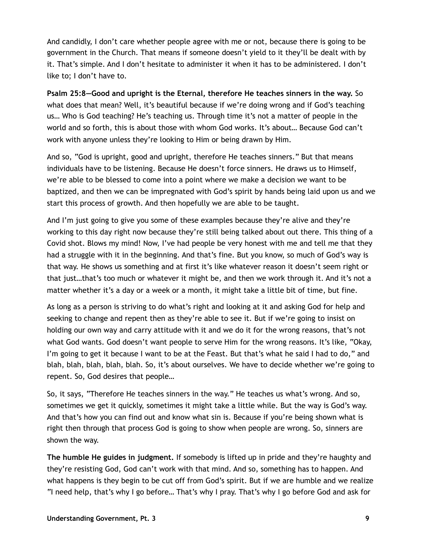And candidly, I don't care whether people agree with me or not, because there is going to be government in the Church. That means if someone doesn't yield to it they'll be dealt with by it. That's simple. And I don't hesitate to administer it when it has to be administered. I don't like to; I don't have to.

**Psalm 25:8—Good and upright is the Eternal, therefore He teaches sinners in the way.** So what does that mean? Well, it's beautiful because if we're doing wrong and if God's teaching us… Who is God teaching? He's teaching us. Through time it's not a matter of people in the world and so forth, this is about those with whom God works. It's about… Because God can't work with anyone unless they're looking to Him or being drawn by Him.

And so, "God is upright, good and upright, therefore He teaches sinners." But that means individuals have to be listening. Because He doesn't force sinners. He draws us to Himself, we're able to be blessed to come into a point where we make a decision we want to be baptized, and then we can be impregnated with God's spirit by hands being laid upon us and we start this process of growth. And then hopefully we are able to be taught.

And I'm just going to give you some of these examples because they're alive and they're working to this day right now because they're still being talked about out there. This thing of a Covid shot. Blows my mind! Now, I've had people be very honest with me and tell me that they had a struggle with it in the beginning. And that's fine. But you know, so much of God's way is that way. He shows us something and at first it's like whatever reason it doesn't seem right or that just…that's too much or whatever it might be, and then we work through it. And it's not a matter whether it's a day or a week or a month, it might take a little bit of time, but fine.

As long as a person is striving to do what's right and looking at it and asking God for help and seeking to change and repent then as they're able to see it. But if we're going to insist on holding our own way and carry attitude with it and we do it for the wrong reasons, that's not what God wants. God doesn't want people to serve Him for the wrong reasons. It's like, "Okay, I'm going to get it because I want to be at the Feast. But that's what he said I had to do," and blah, blah, blah, blah, blah. So, it's about ourselves. We have to decide whether we're going to repent. So, God desires that people…

So, it says, "Therefore He teaches sinners in the way." He teaches us what's wrong. And so, sometimes we get it quickly, sometimes it might take a little while. But the way is God's way. And that's how you can find out and know what sin is. Because if you're being shown what is right then through that process God is going to show when people are wrong. So, sinners are shown the way.

**The humble He guides in judgment.** If somebody is lifted up in pride and they're haughty and they're resisting God, God can't work with that mind. And so, something has to happen. And what happens is they begin to be cut off from God's spirit. But if we are humble and we realize "I need help, that's why I go before… That's why I pray. That's why I go before God and ask for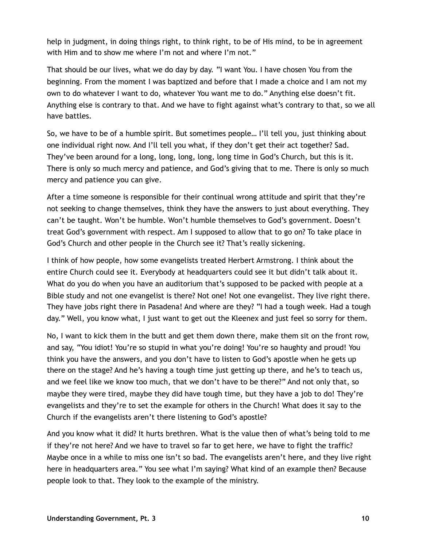help in judgment, in doing things right, to think right, to be of His mind, to be in agreement with Him and to show me where I'm not and where I'm not."

That should be our lives, what we do day by day. "I want You. I have chosen You from the beginning. From the moment I was baptized and before that I made a choice and I am not my own to do whatever I want to do, whatever You want me to do." Anything else doesn't fit. Anything else is contrary to that. And we have to fight against what's contrary to that, so we all have battles.

So, we have to be of a humble spirit. But sometimes people… I'll tell you, just thinking about one individual right now. And I'll tell you what, if they don't get their act together? Sad. They've been around for a long, long, long, long, long time in God's Church, but this is it. There is only so much mercy and patience, and God's giving that to me. There is only so much mercy and patience you can give.

After a time someone is responsible for their continual wrong attitude and spirit that they're not seeking to change themselves, think they have the answers to just about everything. They can't be taught. Won't be humble. Won't humble themselves to God's government. Doesn't treat God's government with respect. Am I supposed to allow that to go on? To take place in God's Church and other people in the Church see it? That's really sickening.

I think of how people, how some evangelists treated Herbert Armstrong. I think about the entire Church could see it. Everybody at headquarters could see it but didn't talk about it. What do you do when you have an auditorium that's supposed to be packed with people at a Bible study and not one evangelist is there? Not one! Not one evangelist. They live right there. They have jobs right there in Pasadena! And where are they? "I had a tough week. Had a tough day." Well, you know what, I just want to get out the Kleenex and just feel so sorry for them.

No, I want to kick them in the butt and get them down there, make them sit on the front row, and say, "You idiot! You're so stupid in what you're doing! You're so haughty and proud! You think you have the answers, and you don't have to listen to God's apostle when he gets up there on the stage? And he's having a tough time just getting up there, and he's to teach us, and we feel like we know too much, that we don't have to be there?" And not only that, so maybe they were tired, maybe they did have tough time, but they have a job to do! They're evangelists and they're to set the example for others in the Church! What does it say to the Church if the evangelists aren't there listening to God's apostle?

And you know what it did? It hurts brethren. What is the value then of what's being told to me if they're not here? And we have to travel so far to get here, we have to fight the traffic? Maybe once in a while to miss one isn't so bad. The evangelists aren't here, and they live right here in headquarters area." You see what I'm saying? What kind of an example then? Because people look to that. They look to the example of the ministry.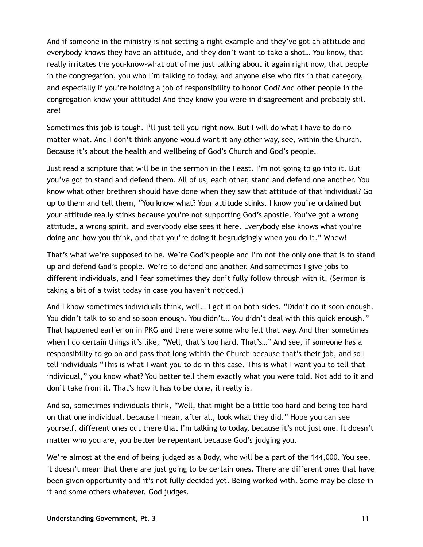And if someone in the ministry is not setting a right example and they've got an attitude and everybody knows they have an attitude, and they don't want to take a shot… You know, that really irritates the you-know-what out of me just talking about it again right now, that people in the congregation, you who I'm talking to today, and anyone else who fits in that category, and especially if you're holding a job of responsibility to honor God? And other people in the congregation know your attitude! And they know you were in disagreement and probably still are!

Sometimes this job is tough. I'll just tell you right now. But I will do what I have to do no matter what. And I don't think anyone would want it any other way, see, within the Church. Because it's about the health and wellbeing of God's Church and God's people.

Just read a scripture that will be in the sermon in the Feast. I'm not going to go into it. But you've got to stand and defend them. All of us, each other, stand and defend one another. You know what other brethren should have done when they saw that attitude of that individual? Go up to them and tell them, "You know what? Your attitude stinks. I know you're ordained but your attitude really stinks because you're not supporting God's apostle. You've got a wrong attitude, a wrong spirit, and everybody else sees it here. Everybody else knows what you're doing and how you think, and that you're doing it begrudgingly when you do it." Whew!

That's what we're supposed to be. We're God's people and I'm not the only one that is to stand up and defend God's people. We're to defend one another. And sometimes I give jobs to different individuals, and I fear sometimes they don't fully follow through with it. (Sermon is taking a bit of a twist today in case you haven't noticed.)

And I know sometimes individuals think, well… I get it on both sides. "Didn't do it soon enough. You didn't talk to so and so soon enough. You didn't... You didn't deal with this quick enough." That happened earlier on in PKG and there were some who felt that way. And then sometimes when I do certain things it's like, "Well, that's too hard. That's…" And see, if someone has a responsibility to go on and pass that long within the Church because that's their job, and so I tell individuals "This is what I want you to do in this case. This is what I want you to tell that individual," you know what? You better tell them exactly what you were told. Not add to it and don't take from it. That's how it has to be done, it really is.

And so, sometimes individuals think, "Well, that might be a little too hard and being too hard on that one individual, because I mean, after all, look what they did." Hope you can see yourself, different ones out there that I'm talking to today, because it's not just one. It doesn't matter who you are, you better be repentant because God's judging you.

We're almost at the end of being judged as a Body, who will be a part of the 144,000. You see, it doesn't mean that there are just going to be certain ones. There are different ones that have been given opportunity and it's not fully decided yet. Being worked with. Some may be close in it and some others whatever. God judges.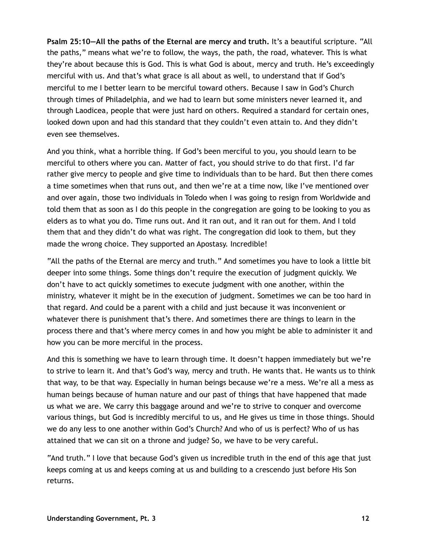**Psalm 25:10—All the paths of the Eternal are mercy and truth.** It's a beautiful scripture. "All the paths," means what we're to follow, the ways, the path, the road, whatever. This is what they're about because this is God. This is what God is about, mercy and truth. He's exceedingly merciful with us. And that's what grace is all about as well, to understand that if God's merciful to me I better learn to be merciful toward others. Because I saw in God's Church through times of Philadelphia, and we had to learn but some ministers never learned it, and through Laodicea, people that were just hard on others. Required a standard for certain ones, looked down upon and had this standard that they couldn't even attain to. And they didn't even see themselves.

And you think, what a horrible thing. If God's been merciful to you, you should learn to be merciful to others where you can. Matter of fact, you should strive to do that first. I'd far rather give mercy to people and give time to individuals than to be hard. But then there comes a time sometimes when that runs out, and then we're at a time now, like I've mentioned over and over again, those two individuals in Toledo when I was going to resign from Worldwide and told them that as soon as I do this people in the congregation are going to be looking to you as elders as to what you do. Time runs out. And it ran out, and it ran out for them. And I told them that and they didn't do what was right. The congregation did look to them, but they made the wrong choice. They supported an Apostasy. Incredible!

"All the paths of the Eternal are mercy and truth." And sometimes you have to look a little bit deeper into some things. Some things don't require the execution of judgment quickly. We don't have to act quickly sometimes to execute judgment with one another, within the ministry, whatever it might be in the execution of judgment. Sometimes we can be too hard in that regard. And could be a parent with a child and just because it was inconvenient or whatever there is punishment that's there. And sometimes there are things to learn in the process there and that's where mercy comes in and how you might be able to administer it and how you can be more merciful in the process.

And this is something we have to learn through time. It doesn't happen immediately but we're to strive to learn it. And that's God's way, mercy and truth. He wants that. He wants us to think that way, to be that way. Especially in human beings because we're a mess. We're all a mess as human beings because of human nature and our past of things that have happened that made us what we are. We carry this baggage around and we're to strive to conquer and overcome various things, but God is incredibly merciful to us, and He gives us time in those things. Should we do any less to one another within God's Church? And who of us is perfect? Who of us has attained that we can sit on a throne and judge? So, we have to be very careful.

"And truth." I love that because God's given us incredible truth in the end of this age that just keeps coming at us and keeps coming at us and building to a crescendo just before His Son returns.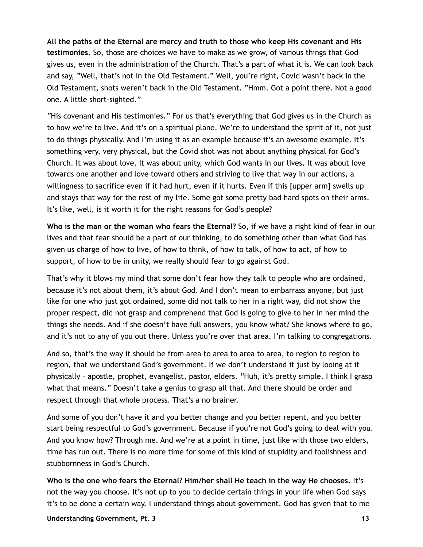**All the paths of the Eternal are mercy and truth to those who keep His covenant and His testimonies.** So, those are choices we have to make as we grow, of various things that God gives us, even in the administration of the Church. That's a part of what it is. We can look back and say, "Well, that's not in the Old Testament." Well, you're right, Covid wasn't back in the Old Testament, shots weren't back in the Old Testament. "Hmm. Got a point there. Not a good one. A little short-sighted."

"His covenant and His testimonies." For us that's everything that God gives us in the Church as to how we're to live. And it's on a spiritual plane. We're to understand the spirit of it, not just to do things physically. And I'm using it as an example because it's an awesome example. It's something very, very physical, but the Covid shot was not about anything physical for God's Church. It was about love. It was about unity, which God wants in our lives. It was about love towards one another and love toward others and striving to live that way in our actions, a willingness to sacrifice even if it had hurt, even if it hurts. Even if this [upper arm] swells up and stays that way for the rest of my life. Some got some pretty bad hard spots on their arms. It's like, well, is it worth it for the right reasons for God's people?

**Who is the man or the woman who fears the Eternal?** So, if we have a right kind of fear in our lives and that fear should be a part of our thinking, to do something other than what God has given us charge of how to live, of how to think, of how to talk, of how to act, of how to support, of how to be in unity, we really should fear to go against God.

That's why it blows my mind that some don't fear how they talk to people who are ordained, because it's not about them, it's about God. And I don't mean to embarrass anyone, but just like for one who just got ordained, some did not talk to her in a right way, did not show the proper respect, did not grasp and comprehend that God is going to give to her in her mind the things she needs. And if she doesn't have full answers, you know what? She knows where to go, and it's not to any of you out there. Unless you're over that area. I'm talking to congregations.

And so, that's the way it should be from area to area to area to area, to region to region to region, that we understand God's government. If we don't understand it just by looing at it physically – apostle, prophet, evangelist, pastor, elders. "Huh, it's pretty simple. I think I grasp what that means." Doesn't take a genius to grasp all that. And there should be order and respect through that whole process. That's a no brainer.

And some of you don't have it and you better change and you better repent, and you better start being respectful to God's government. Because if you're not God's going to deal with you. And you know how? Through me. And we're at a point in time, just like with those two elders, time has run out. There is no more time for some of this kind of stupidity and foolishness and stubbornness in God's Church.

**Who is the one who fears the Eternal? Him/her shall He teach in the way He chooses.** It's not the way you choose. It's not up to you to decide certain things in your life when God says it's to be done a certain way. I understand things about government. God has given that to me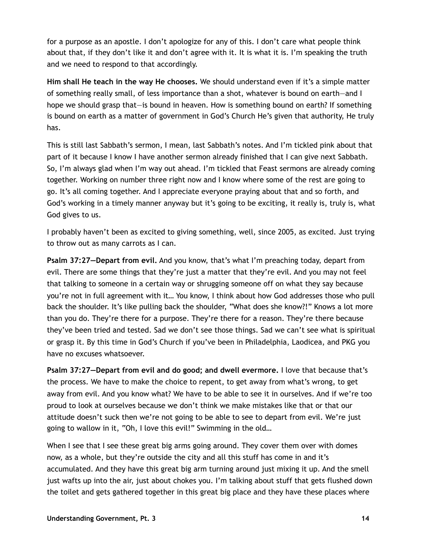for a purpose as an apostle. I don't apologize for any of this. I don't care what people think about that, if they don't like it and don't agree with it. It is what it is. I'm speaking the truth and we need to respond to that accordingly.

**Him shall He teach in the way He chooses.** We should understand even if it's a simple matter of something really small, of less importance than a shot, whatever is bound on earth—and I hope we should grasp that—is bound in heaven. How is something bound on earth? If something is bound on earth as a matter of government in God's Church He's given that authority, He truly has.

This is still last Sabbath's sermon, I mean, last Sabbath's notes. And I'm tickled pink about that part of it because I know I have another sermon already finished that I can give next Sabbath. So, I'm always glad when I'm way out ahead. I'm tickled that Feast sermons are already coming together. Working on number three right now and I know where some of the rest are going to go. It's all coming together. And I appreciate everyone praying about that and so forth, and God's working in a timely manner anyway but it's going to be exciting, it really is, truly is, what God gives to us.

I probably haven't been as excited to giving something, well, since 2005, as excited. Just trying to throw out as many carrots as I can.

**Psalm 37:27—Depart from evil.** And you know, that's what I'm preaching today, depart from evil. There are some things that they're just a matter that they're evil. And you may not feel that talking to someone in a certain way or shrugging someone off on what they say because you're not in full agreement with it… You know, I think about how God addresses those who pull back the shoulder. It's like pulling back the shoulder, "What does she know?!" Knows a lot more than you do. They're there for a purpose. They're there for a reason. They're there because they've been tried and tested. Sad we don't see those things. Sad we can't see what is spiritual or grasp it. By this time in God's Church if you've been in Philadelphia, Laodicea, and PKG you have no excuses whatsoever.

**Psalm 37:27—Depart from evil and do good; and dwell evermore.** I love that because that's the process. We have to make the choice to repent, to get away from what's wrong, to get away from evil. And you know what? We have to be able to see it in ourselves. And if we're too proud to look at ourselves because we don't think we make mistakes like that or that our attitude doesn't suck then we're not going to be able to see to depart from evil. We're just going to wallow in it, "Oh, I love this evil!" Swimming in the old…

When I see that I see these great big arms going around. They cover them over with domes now, as a whole, but they're outside the city and all this stuff has come in and it's accumulated. And they have this great big arm turning around just mixing it up. And the smell just wafts up into the air, just about chokes you. I'm talking about stuff that gets flushed down the toilet and gets gathered together in this great big place and they have these places where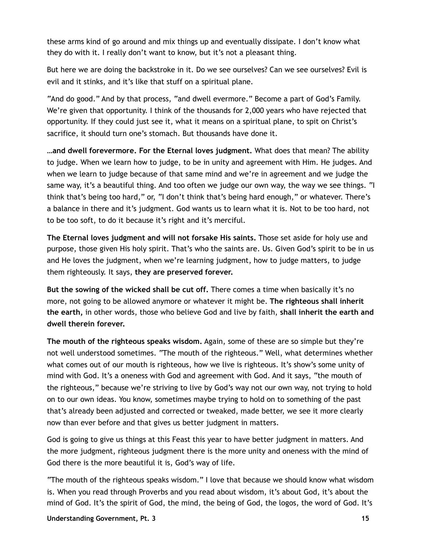these arms kind of go around and mix things up and eventually dissipate. I don't know what they do with it. I really don't want to know, but it's not a pleasant thing.

But here we are doing the backstroke in it. Do we see ourselves? Can we see ourselves? Evil is evil and it stinks, and it's like that stuff on a spiritual plane.

"And do good." And by that process, "and dwell evermore." Become a part of God's Family. We're given that opportunity. I think of the thousands for 2,000 years who have rejected that opportunity. If they could just see it, what it means on a spiritual plane, to spit on Christ's sacrifice, it should turn one's stomach. But thousands have done it.

**…and dwell forevermore. For the Eternal loves judgment.** What does that mean? The ability to judge. When we learn how to judge, to be in unity and agreement with Him. He judges. And when we learn to judge because of that same mind and we're in agreement and we judge the same way, it's a beautiful thing. And too often we judge our own way, the way we see things. "I think that's being too hard," or, "I don't think that's being hard enough," or whatever. There's a balance in there and it's judgment. God wants us to learn what it is. Not to be too hard, not to be too soft, to do it because it's right and it's merciful.

**The Eternal loves judgment and will not forsake His saints.** Those set aside for holy use and purpose, those given His holy spirit. That's who the saints are. Us. Given God's spirit to be in us and He loves the judgment, when we're learning judgment, how to judge matters, to judge them righteously. It says, **they are preserved forever.**

**But the sowing of the wicked shall be cut off.** There comes a time when basically it's no more, not going to be allowed anymore or whatever it might be. **The righteous shall inherit the earth,** in other words, those who believe God and live by faith, **shall inherit the earth and dwell therein forever.**

**The mouth of the righteous speaks wisdom.** Again, some of these are so simple but they're not well understood sometimes. "The mouth of the righteous." Well, what determines whether what comes out of our mouth is righteous, how we live is righteous. It's show's some unity of mind with God. It's a oneness with God and agreement with God. And it says, "the mouth of the righteous," because we're striving to live by God's way not our own way, not trying to hold on to our own ideas. You know, sometimes maybe trying to hold on to something of the past that's already been adjusted and corrected or tweaked, made better, we see it more clearly now than ever before and that gives us better judgment in matters.

God is going to give us things at this Feast this year to have better judgment in matters. And the more judgment, righteous judgment there is the more unity and oneness with the mind of God there is the more beautiful it is, God's way of life.

"The mouth of the righteous speaks wisdom." I love that because we should know what wisdom is. When you read through Proverbs and you read about wisdom, it's about God, it's about the mind of God. It's the spirit of God, the mind, the being of God, the logos, the word of God. It's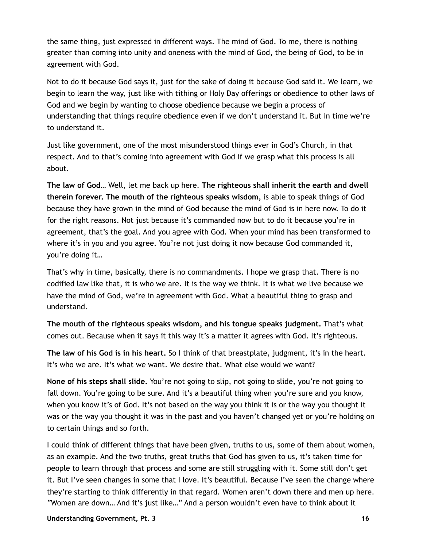the same thing, just expressed in different ways. The mind of God. To me, there is nothing greater than coming into unity and oneness with the mind of God, the being of God, to be in agreement with God.

Not to do it because God says it, just for the sake of doing it because God said it. We learn, we begin to learn the way, just like with tithing or Holy Day offerings or obedience to other laws of God and we begin by wanting to choose obedience because we begin a process of understanding that things require obedience even if we don't understand it. But in time we're to understand it.

Just like government, one of the most misunderstood things ever in God's Church, in that respect. And to that's coming into agreement with God if we grasp what this process is all about.

**The law of God…** Well, let me back up here. **The righteous shall inherit the earth and dwell therein forever. The mouth of the righteous speaks wisdom,** is able to speak things of God because they have grown in the mind of God because the mind of God is in here now. To do it for the right reasons. Not just because it's commanded now but to do it because you're in agreement, that's the goal. And you agree with God. When your mind has been transformed to where it's in you and you agree. You're not just doing it now because God commanded it, you're doing it…

That's why in time, basically, there is no commandments. I hope we grasp that. There is no codified law like that, it is who we are. It is the way we think. It is what we live because we have the mind of God, we're in agreement with God. What a beautiful thing to grasp and understand.

**The mouth of the righteous speaks wisdom, and his tongue speaks judgment.** That's what comes out. Because when it says it this way it's a matter it agrees with God. It's righteous.

**The law of his God is in his heart.** So I think of that breastplate, judgment, it's in the heart. It's who we are. It's what we want. We desire that. What else would we want?

**None of his steps shall slide.** You're not going to slip, not going to slide, you're not going to fall down. You're going to be sure. And it's a beautiful thing when you're sure and you know, when you know it's of God. It's not based on the way you think it is or the way you thought it was or the way you thought it was in the past and you haven't changed yet or you're holding on to certain things and so forth.

I could think of different things that have been given, truths to us, some of them about women, as an example. And the two truths, great truths that God has given to us, it's taken time for people to learn through that process and some are still struggling with it. Some still don't get it. But I've seen changes in some that I love. It's beautiful. Because I've seen the change where they're starting to think differently in that regard. Women aren't down there and men up here. "Women are down… And it's just like…" And a person wouldn't even have to think about it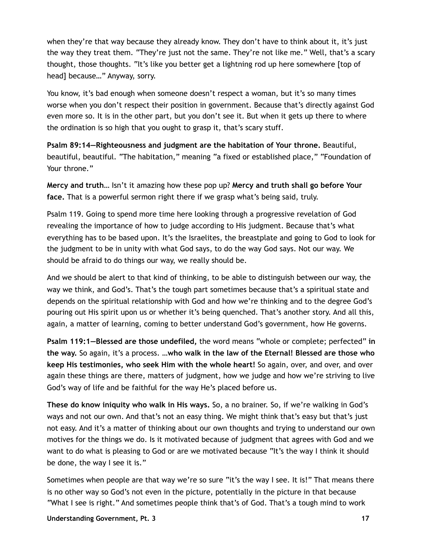when they're that way because they already know. They don't have to think about it, it's just the way they treat them. "They're just not the same. They're not like me." Well, that's a scary thought, those thoughts. "It's like you better get a lightning rod up here somewhere [top of head] because…" Anyway, sorry.

You know, it's bad enough when someone doesn't respect a woman, but it's so many times worse when you don't respect their position in government. Because that's directly against God even more so. It is in the other part, but you don't see it. But when it gets up there to where the ordination is so high that you ought to grasp it, that's scary stuff.

**Psalm 89:14—Righteousness and judgment are the habitation of Your throne.** Beautiful, beautiful, beautiful. "The habitation," meaning "a fixed or established place," "Foundation of Your throne."

**Mercy and truth…** Isn't it amazing how these pop up? **Mercy and truth shall go before Your face.** That is a powerful sermon right there if we grasp what's being said, truly.

Psalm 119. Going to spend more time here looking through a progressive revelation of God revealing the importance of how to judge according to His judgment. Because that's what everything has to be based upon. It's the Israelites, the breastplate and going to God to look for the judgment to be in unity with what God says, to do the way God says. Not our way. We should be afraid to do things our way, we really should be.

And we should be alert to that kind of thinking, to be able to distinguish between our way, the way we think, and God's. That's the tough part sometimes because that's a spiritual state and depends on the spiritual relationship with God and how we're thinking and to the degree God's pouring out His spirit upon us or whether it's being quenched. That's another story. And all this, again, a matter of learning, coming to better understand God's government, how He governs.

**Psalm 119:1—Blessed are those undefiled,** the word means "whole or complete; perfected" **in the way.** So again, it's a process. **…who walk in the law of the Eternal! Blessed are those who keep His testimonies, who seek Him with the whole heart!** So again, over, and over, and over again these things are there, matters of judgment, how we judge and how we're striving to live God's way of life and be faithful for the way He's placed before us.

**These do know iniquity who walk in His ways.** So, a no brainer. So, if we're walking in God's ways and not our own. And that's not an easy thing. We might think that's easy but that's just not easy. And it's a matter of thinking about our own thoughts and trying to understand our own motives for the things we do. Is it motivated because of judgment that agrees with God and we want to do what is pleasing to God or are we motivated because "It's the way I think it should be done, the way I see it is."

Sometimes when people are that way we're so sure "it's the way I see. It is!" That means there is no other way so God's not even in the picture, potentially in the picture in that because "What I see is right." And sometimes people think that's of God. That's a tough mind to work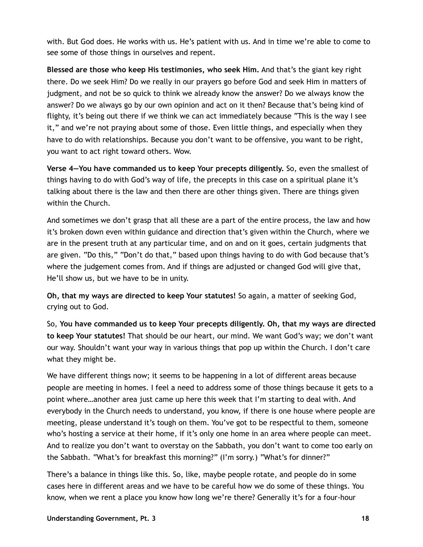with. But God does. He works with us. He's patient with us. And in time we're able to come to see some of those things in ourselves and repent.

**Blessed are those who keep His testimonies, who seek Him.** And that's the giant key right there. Do we seek Him? Do we really in our prayers go before God and seek Him in matters of judgment, and not be so quick to think we already know the answer? Do we always know the answer? Do we always go by our own opinion and act on it then? Because that's being kind of flighty, it's being out there if we think we can act immediately because "This is the way I see it," and we're not praying about some of those. Even little things, and especially when they have to do with relationships. Because you don't want to be offensive, you want to be right, you want to act right toward others. Wow.

**Verse 4—You have commanded us to keep Your precepts diligently.** So, even the smallest of things having to do with God's way of life, the precepts in this case on a spiritual plane it's talking about there is the law and then there are other things given. There are things given within the Church.

And sometimes we don't grasp that all these are a part of the entire process, the law and how it's broken down even within guidance and direction that's given within the Church, where we are in the present truth at any particular time, and on and on it goes, certain judgments that are given. "Do this," "Don't do that," based upon things having to do with God because that's where the judgement comes from. And if things are adjusted or changed God will give that, He'll show us, but we have to be in unity.

**Oh, that my ways are directed to keep Your statutes!** So again, a matter of seeking God, crying out to God.

So, **You have commanded us to keep Your precepts diligently. Oh, that my ways are directed to keep Your statutes!** That should be our heart, our mind. We want God's way; we don't want our way. Shouldn't want your way in various things that pop up within the Church. I don't care what they might be.

We have different things now; it seems to be happening in a lot of different areas because people are meeting in homes. I feel a need to address some of those things because it gets to a point where…another area just came up here this week that I'm starting to deal with. And everybody in the Church needs to understand, you know, if there is one house where people are meeting, please understand it's tough on them. You've got to be respectful to them, someone who's hosting a service at their home, if it's only one home in an area where people can meet. And to realize you don't want to overstay on the Sabbath, you don't want to come too early on the Sabbath. "What's for breakfast this morning?" (I'm sorry.) "What's for dinner?"

There's a balance in things like this. So, like, maybe people rotate, and people do in some cases here in different areas and we have to be careful how we do some of these things. You know, when we rent a place you know how long we're there? Generally it's for a four-hour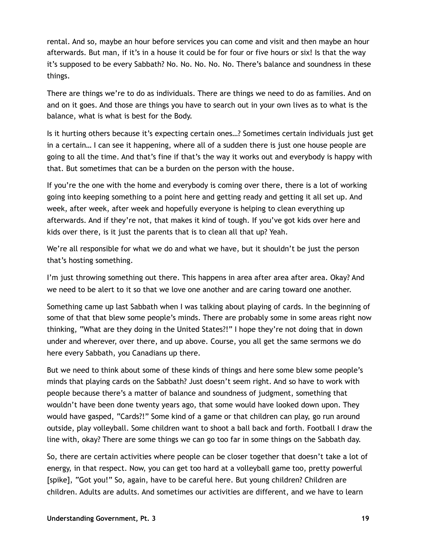rental. And so, maybe an hour before services you can come and visit and then maybe an hour afterwards. But man, if it's in a house it could be for four or five hours or six! Is that the way it's supposed to be every Sabbath? No. No. No. No. No. There's balance and soundness in these things.

There are things we're to do as individuals. There are things we need to do as families. And on and on it goes. And those are things you have to search out in your own lives as to what is the balance, what is what is best for the Body.

Is it hurting others because it's expecting certain ones…? Sometimes certain individuals just get in a certain… I can see it happening, where all of a sudden there is just one house people are going to all the time. And that's fine if that's the way it works out and everybody is happy with that. But sometimes that can be a burden on the person with the house.

If you're the one with the home and everybody is coming over there, there is a lot of working going into keeping something to a point here and getting ready and getting it all set up. And week, after week, after week and hopefully everyone is helping to clean everything up afterwards. And if they're not, that makes it kind of tough. If you've got kids over here and kids over there, is it just the parents that is to clean all that up? Yeah.

We're all responsible for what we do and what we have, but it shouldn't be just the person that's hosting something.

I'm just throwing something out there. This happens in area after area after area. Okay? And we need to be alert to it so that we love one another and are caring toward one another.

Something came up last Sabbath when I was talking about playing of cards. In the beginning of some of that that blew some people's minds. There are probably some in some areas right now thinking, "What are they doing in the United States?!" I hope they're not doing that in down under and wherever, over there, and up above. Course, you all get the same sermons we do here every Sabbath, you Canadians up there.

But we need to think about some of these kinds of things and here some blew some people's minds that playing cards on the Sabbath? Just doesn't seem right. And so have to work with people because there's a matter of balance and soundness of judgment, something that wouldn't have been done twenty years ago, that some would have looked down upon. They would have gasped, "Cards?!" Some kind of a game or that children can play, go run around outside, play volleyball. Some children want to shoot a ball back and forth. Football I draw the line with, okay? There are some things we can go too far in some things on the Sabbath day.

So, there are certain activities where people can be closer together that doesn't take a lot of energy, in that respect. Now, you can get too hard at a volleyball game too, pretty powerful [spike], "Got you!" So, again, have to be careful here. But young children? Children are children. Adults are adults. And sometimes our activities are different, and we have to learn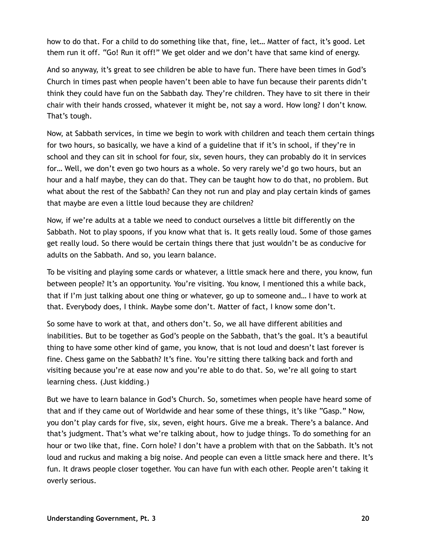how to do that. For a child to do something like that, fine, let… Matter of fact, it's good. Let them run it off. "Go! Run it off!" We get older and we don't have that same kind of energy.

And so anyway, it's great to see children be able to have fun. There have been times in God's Church in times past when people haven't been able to have fun because their parents didn't think they could have fun on the Sabbath day. They're children. They have to sit there in their chair with their hands crossed, whatever it might be, not say a word. How long? I don't know. That's tough.

Now, at Sabbath services, in time we begin to work with children and teach them certain things for two hours, so basically, we have a kind of a guideline that if it's in school, if they're in school and they can sit in school for four, six, seven hours, they can probably do it in services for… Well, we don't even go two hours as a whole. So very rarely we'd go two hours, but an hour and a half maybe, they can do that. They can be taught how to do that, no problem. But what about the rest of the Sabbath? Can they not run and play and play certain kinds of games that maybe are even a little loud because they are children?

Now, if we're adults at a table we need to conduct ourselves a little bit differently on the Sabbath. Not to play spoons, if you know what that is. It gets really loud. Some of those games get really loud. So there would be certain things there that just wouldn't be as conducive for adults on the Sabbath. And so, you learn balance.

To be visiting and playing some cards or whatever, a little smack here and there, you know, fun between people? It's an opportunity. You're visiting. You know, I mentioned this a while back, that if I'm just talking about one thing or whatever, go up to someone and… I have to work at that. Everybody does, I think. Maybe some don't. Matter of fact, I know some don't.

So some have to work at that, and others don't. So, we all have different abilities and inabilities. But to be together as God's people on the Sabbath, that's the goal. It's a beautiful thing to have some other kind of game, you know, that is not loud and doesn't last forever is fine. Chess game on the Sabbath? It's fine. You're sitting there talking back and forth and visiting because you're at ease now and you're able to do that. So, we're all going to start learning chess. (Just kidding.)

But we have to learn balance in God's Church. So, sometimes when people have heard some of that and if they came out of Worldwide and hear some of these things, it's like "Gasp." Now, you don't play cards for five, six, seven, eight hours. Give me a break. There's a balance. And that's judgment. That's what we're talking about, how to judge things. To do something for an hour or two like that, fine. Corn hole? I don't have a problem with that on the Sabbath. It's not loud and ruckus and making a big noise. And people can even a little smack here and there. It's fun. It draws people closer together. You can have fun with each other. People aren't taking it overly serious.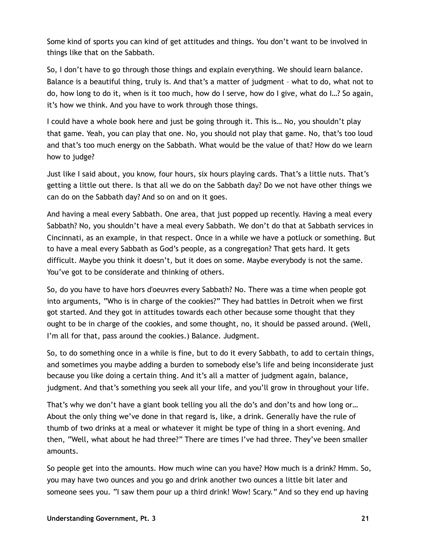Some kind of sports you can kind of get attitudes and things. You don't want to be involved in things like that on the Sabbath.

So, I don't have to go through those things and explain everything. We should learn balance. Balance is a beautiful thing, truly is. And that's a matter of judgment – what to do, what not to do, how long to do it, when is it too much, how do I serve, how do I give, what do I…? So again, it's how we think. And you have to work through those things.

I could have a whole book here and just be going through it. This is… No, you shouldn't play that game. Yeah, you can play that one. No, you should not play that game. No, that's too loud and that's too much energy on the Sabbath. What would be the value of that? How do we learn how to judge?

Just like I said about, you know, four hours, six hours playing cards. That's a little nuts. That's getting a little out there. Is that all we do on the Sabbath day? Do we not have other things we can do on the Sabbath day? And so on and on it goes.

And having a meal every Sabbath. One area, that just popped up recently. Having a meal every Sabbath? No, you shouldn't have a meal every Sabbath. We don't do that at Sabbath services in Cincinnati, as an example, in that respect. Once in a while we have a potluck or something. But to have a meal every Sabbath as God's people, as a congregation? That gets hard. It gets difficult. Maybe you think it doesn't, but it does on some. Maybe everybody is not the same. You've got to be considerate and thinking of others.

So, do you have to have hors d'oeuvres every Sabbath? No. There was a time when people got into arguments, "Who is in charge of the cookies?" They had battles in Detroit when we first got started. And they got in attitudes towards each other because some thought that they ought to be in charge of the cookies, and some thought, no, it should be passed around. (Well, I'm all for that, pass around the cookies.) Balance. Judgment.

So, to do something once in a while is fine, but to do it every Sabbath, to add to certain things, and sometimes you maybe adding a burden to somebody else's life and being inconsiderate just because you like doing a certain thing. And it's all a matter of judgment again, balance, judgment. And that's something you seek all your life, and you'll grow in throughout your life.

That's why we don't have a giant book telling you all the do's and don'ts and how long or… About the only thing we've done in that regard is, like, a drink. Generally have the rule of thumb of two drinks at a meal or whatever it might be type of thing in a short evening. And then, "Well, what about he had three?" There are times I've had three. They've been smaller amounts.

So people get into the amounts. How much wine can you have? How much is a drink? Hmm. So, you may have two ounces and you go and drink another two ounces a little bit later and someone sees you. "I saw them pour up a third drink! Wow! Scary." And so they end up having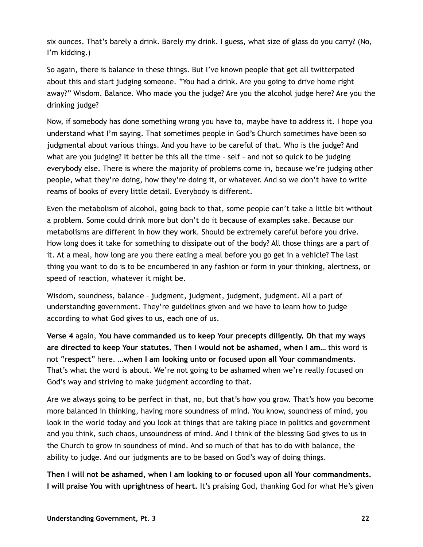six ounces. That's barely a drink. Barely my drink. I guess, what size of glass do you carry? (No, I'm kidding.)

So again, there is balance in these things. But I've known people that get all twitterpated about this and start judging someone. "You had a drink. Are you going to drive home right away?" Wisdom. Balance. Who made you the judge? Are you the alcohol judge here? Are you the drinking judge?

Now, if somebody has done something wrong you have to, maybe have to address it. I hope you understand what I'm saying. That sometimes people in God's Church sometimes have been so judgmental about various things. And you have to be careful of that. Who is the judge? And what are you judging? It better be this all the time – self – and not so quick to be judging everybody else. There is where the majority of problems come in, because we're judging other people, what they're doing, how they're doing it, or whatever. And so we don't have to write reams of books of every little detail. Everybody is different.

Even the metabolism of alcohol, going back to that, some people can't take a little bit without a problem. Some could drink more but don't do it because of examples sake. Because our metabolisms are different in how they work. Should be extremely careful before you drive. How long does it take for something to dissipate out of the body? All those things are a part of it. At a meal, how long are you there eating a meal before you go get in a vehicle? The last thing you want to do is to be encumbered in any fashion or form in your thinking, alertness, or speed of reaction, whatever it might be.

Wisdom, soundness, balance – judgment, judgment, judgment, judgment. All a part of understanding government. They're guidelines given and we have to learn how to judge according to what God gives to us, each one of us.

**Verse 4** again, **You have commanded us to keep Your precepts diligently. Oh that my ways are directed to keep Your statutes. Then I would not be ashamed, when I am…** this word is not "**respect**" here. **…when I am looking unto or focused upon all Your commandments.** That's what the word is about. We're not going to be ashamed when we're really focused on God's way and striving to make judgment according to that.

Are we always going to be perfect in that, no, but that's how you grow. That's how you become more balanced in thinking, having more soundness of mind. You know, soundness of mind, you look in the world today and you look at things that are taking place in politics and government and you think, such chaos, unsoundness of mind. And I think of the blessing God gives to us in the Church to grow in soundness of mind. And so much of that has to do with balance, the ability to judge. And our judgments are to be based on God's way of doing things.

**Then I will not be ashamed, when I am looking to or focused upon all Your commandments. I will praise You with uprightness of heart.** It's praising God, thanking God for what He's given